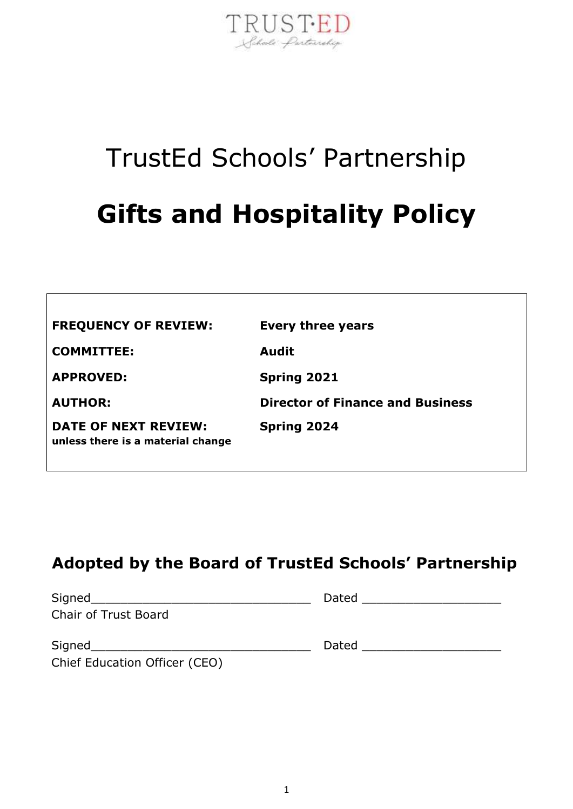

# TrustEd Schools' Partnership **Gifts and Hospitality Policy**

| <b>FREQUENCY OF REVIEW:</b>                                      | Every three years                       |
|------------------------------------------------------------------|-----------------------------------------|
| <b>COMMITTEE:</b>                                                | <b>Audit</b>                            |
| <b>APPROVED:</b>                                                 | <b>Spring 2021</b>                      |
| <b>AUTHOR:</b>                                                   | <b>Director of Finance and Business</b> |
| <b>DATE OF NEXT REVIEW:</b><br>unless there is a material change | <b>Spring 2024</b>                      |

# **Adopted by the Board of TrustEd Schools' Partnership**

| Signed               | Dated |
|----------------------|-------|
| Chair of Trust Board |       |
|                      |       |

| Signed                        |  |
|-------------------------------|--|
| Chief Education Officer (CEO) |  |

**r** 

| <b>- -</b><br><u>_ 17</u><br>אוכ | ____ |
|----------------------------------|------|
|----------------------------------|------|

ربدن)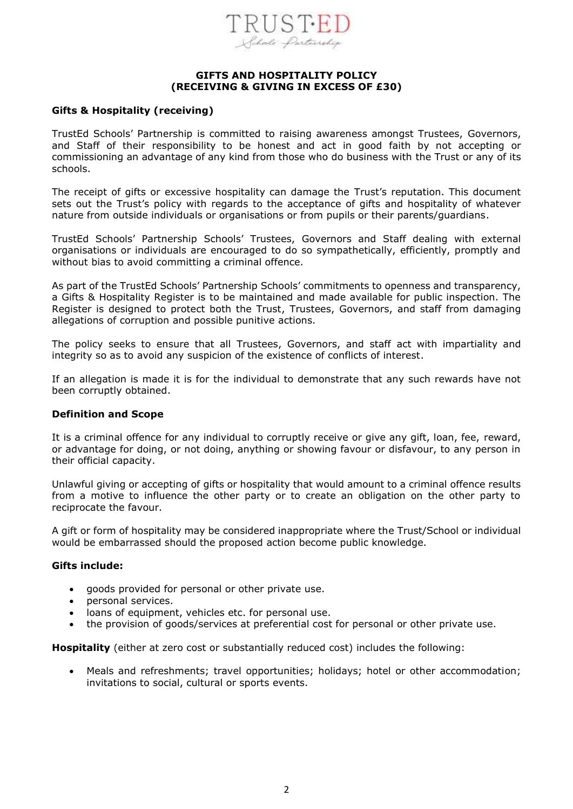

#### **GIFTS AND HOSPITALITY POLICY (RECEIVING & GIVING IN EXCESS OF £30)**

#### **Gifts & Hospitality (receiving)**

TrustEd Schools' Partnership is committed to raising awareness amongst Trustees, Governors, and Staff of their responsibility to be honest and act in good faith by not accepting or commissioning an advantage of any kind from those who do business with the Trust or any of its schools.

The receipt of gifts or excessive hospitality can damage the Trust's reputation. This document sets out the Trust's policy with regards to the acceptance of gifts and hospitality of whatever nature from outside individuals or organisations or from pupils or their parents/guardians.

TrustEd Schools' Partnership Schools' Trustees, Governors and Staff dealing with external organisations or individuals are encouraged to do so sympathetically, efficiently, promptly and without bias to avoid committing a criminal offence.

As part of the TrustEd Schools' Partnership Schools' commitments to openness and transparency, a Gifts & Hospitality Register is to be maintained and made available for public inspection. The Register is designed to protect both the Trust, Trustees, Governors, and staff from damaging allegations of corruption and possible punitive actions.

The policy seeks to ensure that all Trustees, Governors, and staff act with impartiality and integrity so as to avoid any suspicion of the existence of conflicts of interest.

If an allegation is made it is for the individual to demonstrate that any such rewards have not been corruptly obtained.

#### **Definition and Scope**

It is a criminal offence for any individual to corruptly receive or give any gift, loan, fee, reward, or advantage for doing, or not doing, anything or showing favour or disfavour, to any person in their official capacity.

Unlawful giving or accepting of gifts or hospitality that would amount to a criminal offence results from a motive to influence the other party or to create an obligation on the other party to reciprocate the favour.

A gift or form of hospitality may be considered inappropriate where the Trust/School or individual would be embarrassed should the proposed action become public knowledge.

#### **Gifts include:**

- goods provided for personal or other private use.
- personal services.
- loans of equipment, vehicles etc. for personal use.
- the provision of goods/services at preferential cost for personal or other private use.

**Hospitality** (either at zero cost or substantially reduced cost) includes the following:

• Meals and refreshments; travel opportunities; holidays; hotel or other accommodation; invitations to social, cultural or sports events.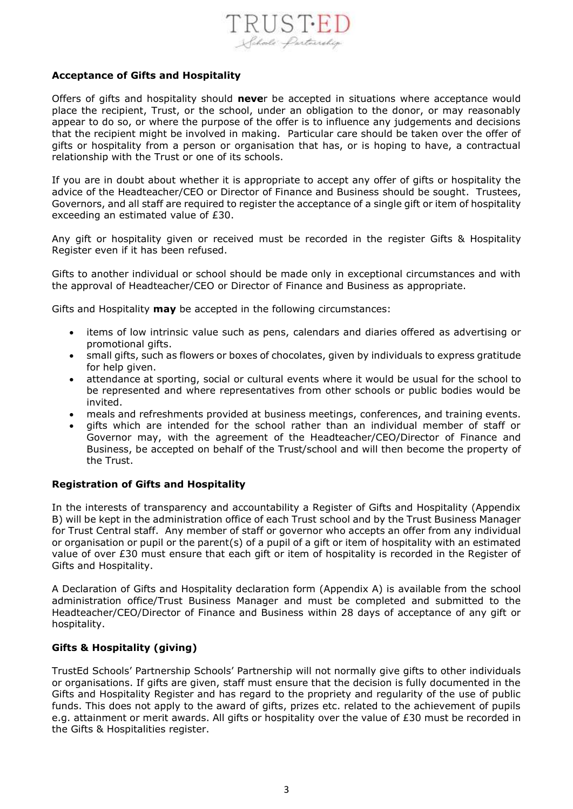

#### **Acceptance of Gifts and Hospitality**

Offers of gifts and hospitality should **neve**r be accepted in situations where acceptance would place the recipient, Trust, or the school, under an obligation to the donor, or may reasonably appear to do so, or where the purpose of the offer is to influence any judgements and decisions that the recipient might be involved in making. Particular care should be taken over the offer of gifts or hospitality from a person or organisation that has, or is hoping to have, a contractual relationship with the Trust or one of its schools.

If you are in doubt about whether it is appropriate to accept any offer of gifts or hospitality the advice of the Headteacher/CEO or Director of Finance and Business should be sought. Trustees, Governors, and all staff are required to register the acceptance of a single gift or item of hospitality exceeding an estimated value of £30.

Any gift or hospitality given or received must be recorded in the register Gifts & Hospitality Register even if it has been refused.

Gifts to another individual or school should be made only in exceptional circumstances and with the approval of Headteacher/CEO or Director of Finance and Business as appropriate.

Gifts and Hospitality **may** be accepted in the following circumstances:

- items of low intrinsic value such as pens, calendars and diaries offered as advertising or promotional gifts.
- small gifts, such as flowers or boxes of chocolates, given by individuals to express gratitude for help given.
- attendance at sporting, social or cultural events where it would be usual for the school to be represented and where representatives from other schools or public bodies would be invited.
- meals and refreshments provided at business meetings, conferences, and training events.
- gifts which are intended for the school rather than an individual member of staff or Governor may, with the agreement of the Headteacher/CEO/Director of Finance and Business, be accepted on behalf of the Trust/school and will then become the property of the Trust.

#### **Registration of Gifts and Hospitality**

In the interests of transparency and accountability a Register of Gifts and Hospitality (Appendix B) will be kept in the administration office of each Trust school and by the Trust Business Manager for Trust Central staff. Any member of staff or governor who accepts an offer from any individual or organisation or pupil or the parent(s) of a pupil of a gift or item of hospitality with an estimated value of over £30 must ensure that each gift or item of hospitality is recorded in the Register of Gifts and Hospitality.

A Declaration of Gifts and Hospitality declaration form (Appendix A) is available from the school administration office/Trust Business Manager and must be completed and submitted to the Headteacher/CEO/Director of Finance and Business within 28 days of acceptance of any gift or hospitality.

#### **Gifts & Hospitality (giving)**

TrustEd Schools' Partnership Schools' Partnership will not normally give gifts to other individuals or organisations. If gifts are given, staff must ensure that the decision is fully documented in the Gifts and Hospitality Register and has regard to the propriety and regularity of the use of public funds. This does not apply to the award of gifts, prizes etc. related to the achievement of pupils e.g. attainment or merit awards. All gifts or hospitality over the value of £30 must be recorded in the Gifts & Hospitalities register.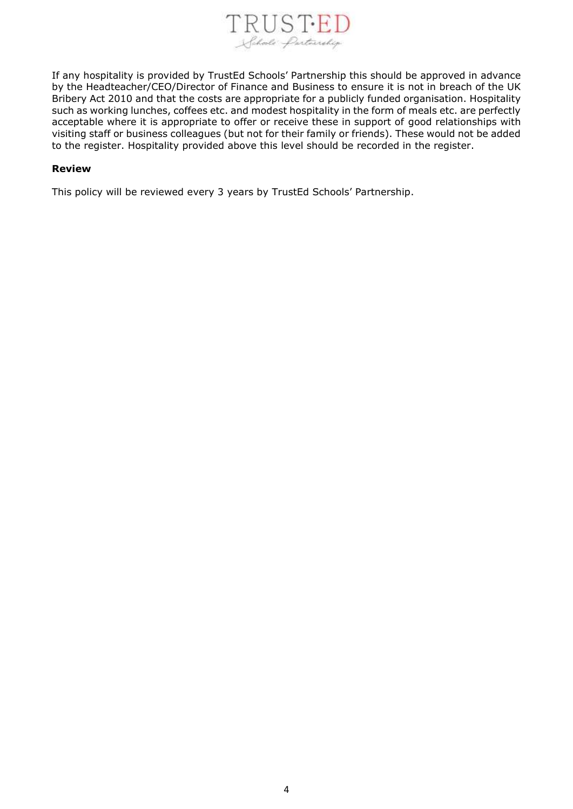

If any hospitality is provided by TrustEd Schools' Partnership this should be approved in advance by the Headteacher/CEO/Director of Finance and Business to ensure it is not in breach of the UK Bribery Act 2010 and that the costs are appropriate for a publicly funded organisation. Hospitality such as working lunches, coffees etc. and modest hospitality in the form of meals etc. are perfectly acceptable where it is appropriate to offer or receive these in support of good relationships with visiting staff or business colleagues (but not for their family or friends). These would not be added to the register. Hospitality provided above this level should be recorded in the register.

#### **Review**

This policy will be reviewed every 3 years by TrustEd Schools' Partnership.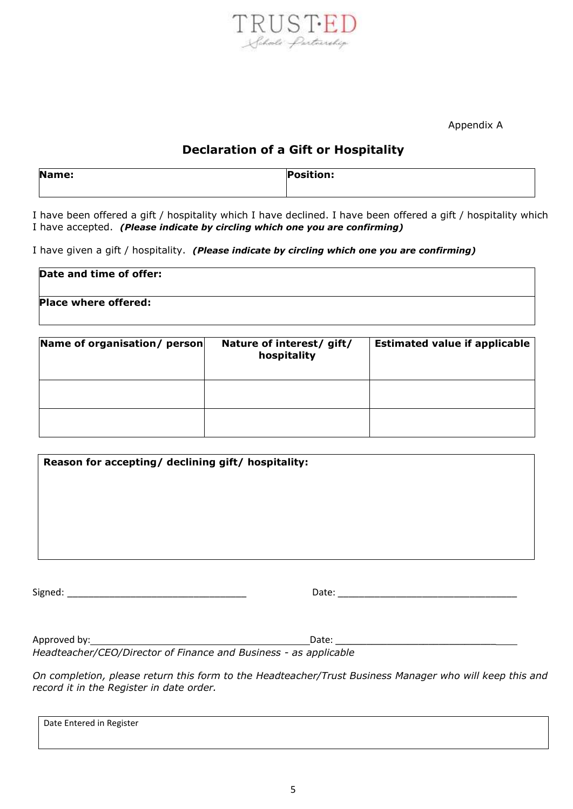

Appendix A

### **Declaration of a Gift or Hospitality**

| Name: | <b>Position:</b> |
|-------|------------------|
|       |                  |

I have been offered a gift / hospitality which I have declined. I have been offered a gift / hospitality which I have accepted. *(Please indicate by circling which one you are confirming)*

I have given a gift / hospitality. *(Please indicate by circling which one you are confirming)*

| Date and time of offer: |  |
|-------------------------|--|
| Place where offered:    |  |

| Name of organisation/ person | Nature of interest/ gift/<br>hospitality | <b>Estimated value if applicable</b> |
|------------------------------|------------------------------------------|--------------------------------------|
|                              |                                          |                                      |
|                              |                                          |                                      |

| Reason for accepting/ declining gift/ hospitality: |       |  |  |  |  |
|----------------------------------------------------|-------|--|--|--|--|
|                                                    |       |  |  |  |  |
|                                                    |       |  |  |  |  |
|                                                    |       |  |  |  |  |
|                                                    |       |  |  |  |  |
| Signed:                                            | Date: |  |  |  |  |

Approved by: Date: \_\_\_\_\_\_\_\_\_\_\_\_\_\_\_\_\_\_\_\_\_\_\_\_\_\_\_\_\_\_\_

*Headteacher/CEO/Director of Finance and Business - as applicable*

*On completion, please return this form to the Headteacher/Trust Business Manager who will keep this and record it in the Register in date order.*

Date Entered in Register